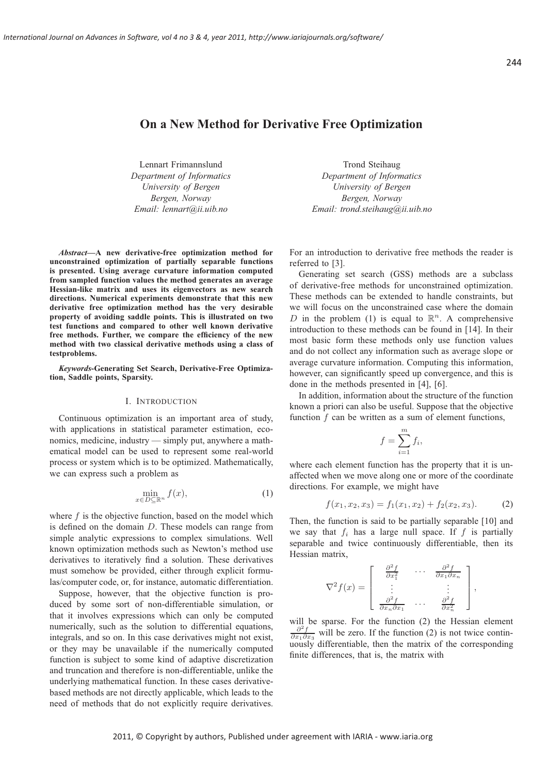244

# **On a New Method for Derivative Free Optimization**

Lennart Frimannslund *Department of Informatics University of Bergen Bergen, Norway Email: lennart@ii.uib.no*

*Abstract***—A new derivative-free optimization method for unconstrained optimization of partially separable functions is presented. Using average curvature information computed from sampled function values the method generates an average Hessian-like matrix and uses its eigenvectors as new search directions. Numerical experiments demonstrate that this new derivative free optimization method has the very desirable property of avoiding saddle points. This is illustrated on two test functions and compared to other well known derivative free methods. Further, we compare the efficiency of the new method with two classical derivative methods using a class of testproblems.**

*Keywords***-Generating Set Search, Derivative-Free Optimization, Saddle points, Sparsity.**

## I. INTRODUCTION

Continuous optimization is an important area of study, with applications in statistical parameter estimation, economics, medicine, industry — simply put, anywhere a mathematical model can be used to represent some real-world process or system which is to be optimized. Mathematically, we can express such a problem as

$$
\min_{x \in D \subseteq \mathbb{R}^n} f(x),\tag{1}
$$

where  $f$  is the objective function, based on the model which is defined on the domain D. These models can range from simple analytic expressions to complex simulations. Well known optimization methods such as Newton's method use derivatives to iteratively find a solution. These derivatives must somehow be provided, either through explicit formulas/computer code, or, for instance, automatic differentiation.

Suppose, however, that the objective function is produced by some sort of non-differentiable simulation, or that it involves expressions which can only be computed numerically, such as the solution to differential equations, integrals, and so on. In this case derivatives might not exist, or they may be unavailable if the numerically computed function is subject to some kind of adaptive discretization and truncation and therefore is non-differentiable, unlike the underlying mathematical function. In these cases derivativebased methods are not directly applicable, which leads to the need of methods that do not explicitly require derivatives.

Trond Steihaug *Department of Informatics University of Bergen Bergen, Norway Email: trond.steihaug@ii.uib.no*

For an introduction to derivative free methods the reader is referred to [3].

Generating set search (GSS) methods are a subclass of derivative-free methods for unconstrained optimization. These methods can be extended to handle constraints, but we will focus on the unconstrained case where the domain D in the problem (1) is equal to  $\mathbb{R}^n$ . A comprehensive introduction to these methods can be found in [14]. In their most basic form these methods only use function values and do not collect any information such as average slope or average curvature information. Computing this information, however, can significantly speed up convergence, and this is done in the methods presented in [4], [6].

In addition, information about the structure of the function known a priori can also be useful. Suppose that the objective function  $f$  can be written as a sum of element functions,

$$
f = \sum_{i=1}^{m} f_i,
$$

where each element function has the property that it is unaffected when we move along one or more of the coordinate directions. For example, we might have

$$
f(x_1, x_2, x_3) = f_1(x_1, x_2) + f_2(x_2, x_3). \tag{2}
$$

Then, the function is said to be partially separable [10] and we say that  $f_i$  has a large null space. If f is partially separable and twice continuously differentiable, then its Hessian matrix,

$$
\nabla^2 f(x) = \begin{bmatrix} \frac{\partial^2 f}{\partial x_1^2} & \cdots & \frac{\partial^2 f}{\partial x_1 \partial x_n} \\ \vdots & & \vdots \\ \frac{\partial^2 f}{\partial x_n \partial x_1} & \cdots & \frac{\partial^2 f}{\partial x_n^2} \end{bmatrix},
$$

will be sparse. For the function (2) the Hessian element  $\frac{\partial^2 f}{\partial x_1 \partial x_3}$  will be zero. If the function (2) is not twice continuously differentiable, then the matrix of the corresponding finite differences, that is, the matrix with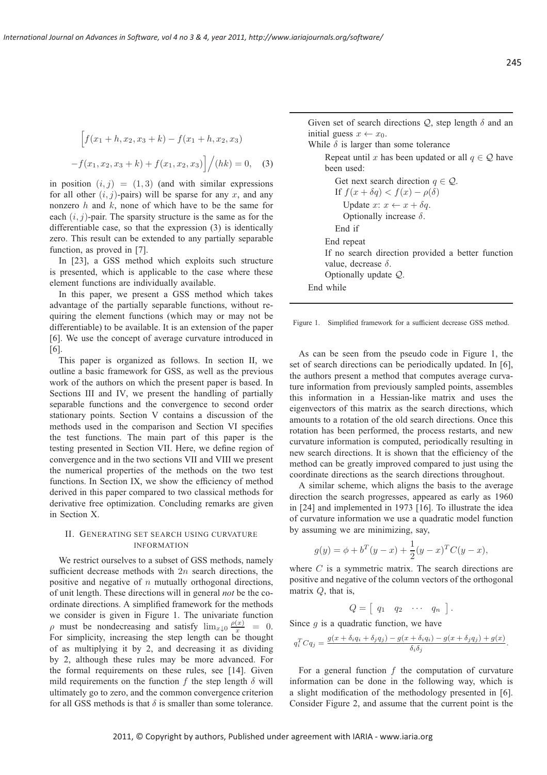$$
\[f(x_1 + h, x_2, x_3 + k) - f(x_1 + h, x_2, x_3) - f(x_1, x_2, x_3 + k) + f(x_1, x_2, x_3)\]/(hk) = 0, \quad (3)
$$

in position  $(i, j) = (1, 3)$  (and with similar expressions for all other  $(i, j)$ -pairs) will be sparse for any x, and any nonzero  $h$  and  $k$ , none of which have to be the same for each  $(i, j)$ -pair. The sparsity structure is the same as for the differentiable case, so that the expression (3) is identically zero. This result can be extended to any partially separable function, as proved in [7].

In [23], a GSS method which exploits such structure is presented, which is applicable to the case where these element functions are individually available.

In this paper, we present a GSS method which takes advantage of the partially separable functions, without requiring the element functions (which may or may not be differentiable) to be available. It is an extension of the paper [6]. We use the concept of average curvature introduced in [6].

This paper is organized as follows. In section II, we outline a basic framework for GSS, as well as the previous work of the authors on which the present paper is based. In Sections III and IV, we present the handling of partially separable functions and the convergence to second order stationary points. Section V contains a discussion of the methods used in the comparison and Section VI specifies the test functions. The main part of this paper is the testing presented in Section VII. Here, we define region of convergence and in the two sections VII and VIII we present the numerical properties of the methods on the two test functions. In Section IX, we show the efficiency of method derived in this paper compared to two classical methods for derivative free optimization. Concluding remarks are given in Section X.

### II. GENERATING SET SEARCH USING CURVATURE INFORMATION

We restrict ourselves to a subset of GSS methods, namely sufficient decrease methods with  $2n$  search directions, the positive and negative of  $n$  mutually orthogonal directions, of unit length. These directions will in general *not* be the coordinate directions. A simplified framework for the methods we consider is given in Figure 1. The univariate function  $\rho$  must be nondecreasing and satisfy  $\lim_{x\downarrow 0} \frac{\rho(x)}{x} = 0$ . For simplicity, increasing the step length can be thought of as multiplying it by 2, and decreasing it as dividing by 2, although these rules may be more advanced. For the formal requirements on these rules, see [14]. Given mild requirements on the function f the step length  $\delta$  will ultimately go to zero, and the common convergence criterion for all GSS methods is that  $\delta$  is smaller than some tolerance.

Given set of search directions  $Q$ , step length  $\delta$  and an initial guess  $x \leftarrow x_0$ .

While  $\delta$  is larger than some tolerance

Repeat until x has been updated or all  $q \in \mathcal{Q}$  have been used:

Get next search direction  $q \in \mathcal{Q}$ . If  $f(x + \delta q) < f(x) - \rho(\delta)$ Update  $x: x \leftarrow x + \delta q$ . Optionally increase  $\delta$ . End if End repeat If no search direction provided a better function value, decrease  $\delta$ . Optionally update Q. End while

Figure 1. Simplified framework for a sufficient decrease GSS method.

As can be seen from the pseudo code in Figure 1, the set of search directions can be periodically updated. In [6], the authors present a method that computes average curvature information from previously sampled points, assembles this information in a Hessian-like matrix and uses the eigenvectors of this matrix as the search directions, which amounts to a rotation of the old search directions. Once this rotation has been performed, the process restarts, and new curvature information is computed, periodically resulting in new search directions. It is shown that the efficiency of the method can be greatly improved compared to just using the coordinate directions as the search directions throughout.

A similar scheme, which aligns the basis to the average direction the search progresses, appeared as early as 1960 in [24] and implemented in 1973 [16]. To illustrate the idea of curvature information we use a quadratic model function by assuming we are minimizing, say,

$$
g(y) = \phi + b^{T}(y - x) + \frac{1}{2}(y - x)^{T}C(y - x),
$$

where  $C$  is a symmetric matrix. The search directions are positive and negative of the column vectors of the orthogonal matrix Q, that is,

$$
Q = \left[ \begin{array}{cccc} q_1 & q_2 & \cdots & q_n \end{array} \right].
$$

Since  $q$  is a quadratic function, we have

$$
q_i^T C q_j = \frac{g(x + \delta_i q_i + \delta_j q_j) - g(x + \delta_i q_i) - g(x + \delta_j q_j) + g(x)}{\delta_i \delta_j}.
$$

For a general function  $f$  the computation of curvature information can be done in the following way, which is a slight modification of the methodology presented in [6]. Consider Figure 2, and assume that the current point is the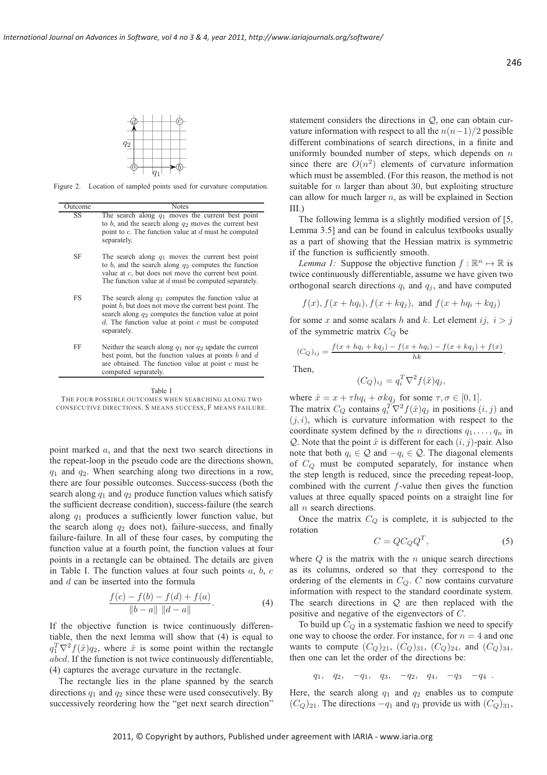

Figure 2. Location of sampled points used for curvature computation.

| Outcome | <b>Notes</b>                                                                                                                                                                                                                                        |
|---------|-----------------------------------------------------------------------------------------------------------------------------------------------------------------------------------------------------------------------------------------------------|
| SS      | The search along $q_1$ moves the current best point<br>to b, and the search along $q_2$ moves the current best<br>point to $c$ . The function value at $d$ must be computed<br>separately.                                                          |
| SF      | The search along $q_1$ moves the current best point<br>to b, and the search along $q_2$ computes the function<br>value at $c$ , but does not move the current best point.<br>The function value at $d$ must be computed separately.                 |
| FS      | The search along $q_1$ computes the function value at<br>point b, but does not move the current best point. The<br>search along $q_2$ computes the function value at point<br>$d$ . The function value at point $c$ must be computed<br>separately. |
| FF      | Neither the search along $q_1$ nor $q_2$ update the current<br>best point, but the function values at points $b$ and $d$<br>are obtained. The function value at point $c$ must be<br>computed separately.                                           |

Table I THE FOUR POSSIBLE OUTCOMES WHEN SEARCHING ALONG TWO CONSECUTIVE DIRECTIONS. S MEANS SUCCESS, F MEANS FAILURE.

point marked a, and that the next two search directions in the repeat-loop in the pseudo code are the directions shown,  $q_1$  and  $q_2$ . When searching along two directions in a row, there are four possible outcomes. Success-success (both the search along  $q_1$  and  $q_2$  produce function values which satisfy the sufficient decrease condition), success-failure (the search along  $q_1$  produces a sufficiently lower function value, but the search along  $q_2$  does not), failure-success, and finally failure-failure. In all of these four cases, by computing the function value at a fourth point, the function values at four points in a rectangle can be obtained. The details are given in Table I. The function values at four such points  $a, b, c$ and d can be inserted into the formula

$$
\frac{f(c) - f(b) - f(d) + f(a)}{\|b - a\| \|d - a\|}.
$$
 (4)

If the objective function is twice continuously differentiable, then the next lemma will show that (4) is equal to  $q_1^T \nabla^2 f(\hat{x}) q_2$ , where  $\hat{x}$  is some point within the rectangle abcd. If the function is not twice continuously differentiable, (4) captures the average curvature in the rectangle.

The rectangle lies in the plane spanned by the search directions  $q_1$  and  $q_2$  since these were used consecutively. By successively reordering how the "get next search direction"

statement considers the directions in  $Q$ , one can obtain curvature information with respect to all the  $n(n-1)/2$  possible different combinations of search directions, in a finite and uniformly bounded number of steps, which depends on  $n$ since there are  $O(n^2)$  elements of curvature information which must be assembled. (For this reason, the method is not suitable for  $n$  larger than about 30, but exploiting structure can allow for much larger  $n$ , as will be explained in Section III.)

The following lemma is a slightly modified version of [5,] Lemma 3.5] and can be found in calculus textbooks usually as a part of showing that the Hessian matrix is symmetric if the function is sufficiently smooth.

*Lemma 1:* Suppose the objective function  $f : \mathbb{R}^n \mapsto \mathbb{R}$  is twice continuously differentiable, assume we have given two orthogonal search directions  $q_i$  and  $q_j$ , and have computed

$$
f(x), f(x + hqi), f(x + kqj), and f(x + hqi + kqj)
$$

for some x and some scalars h and k. Let element i  $i, i > i$ of the symmetric matrix  $C_Q$  be

$$
(C_Q)_{ij} = \frac{f(x + hq_i + kq_j) - f(x + hq_i) - f(x + kq_j) + f(x)}{hk}.
$$

Then,

$$
(C_Q)_{ij} = q_i^T \nabla^2 f(\hat{x}) q_j,
$$

where  $\hat{x} = x + \tau h q_i + \sigma k q_j$  for some  $\tau, \sigma \in [0, 1]$ .

The matrix  $C_Q$  contains  $q_i^T \nabla^2 f(\hat{x}) q_j$  in positions  $(i, j)$  and  $(j, i)$ , which is curvature information with respect to the coordinate system defined by the n directions  $q_1, \ldots, q_n$  in Q. Note that the point  $\hat{x}$  is different for each  $(i, j)$ -pair. Also note that both  $q_i \in \mathcal{Q}$  and  $-q_i \in \mathcal{Q}$ . The diagonal elements of  $C_Q$  must be computed separately, for instance when the step length is reduced, since the preceding repeat-loop, combined with the current  $f$ -value then gives the function values at three equally spaced points on a straight line for all n search directions.

Once the matrix  $C_Q$  is complete, it is subjected to the rotation

$$
C = QC_Q Q^T,\t\t(5)
$$

where  $Q$  is the matrix with the  $n$  unique search directions as its columns, ordered so that they correspond to the ordering of the elements in  $C_Q$ .  $C$  now contains curvature information with respect to the standard coordinate system. The search directions in  $Q$  are then replaced with the positive and negative of the eigenvectors of C.

To build up  $C_Q$  in a systematic fashion we need to specify one way to choose the order. For instance, for  $n = 4$  and one wants to compute  $(C_Q)_{21}$ ,  $(C_Q)_{31}$ ,  $(C_Q)_{24}$ , and  $(C_Q)_{34}$ , then one can let the order of the directions be:

 $q_1, q_2, -q_1, q_3, -q_2, q_4, -q_3, -q_4$ .

Here, the search along  $q_1$  and  $q_2$  enables us to compute  $(C_Q)_{21}$ . The directions  $-q_1$  and  $q_3$  provide us with  $(C_Q)_{31}$ ,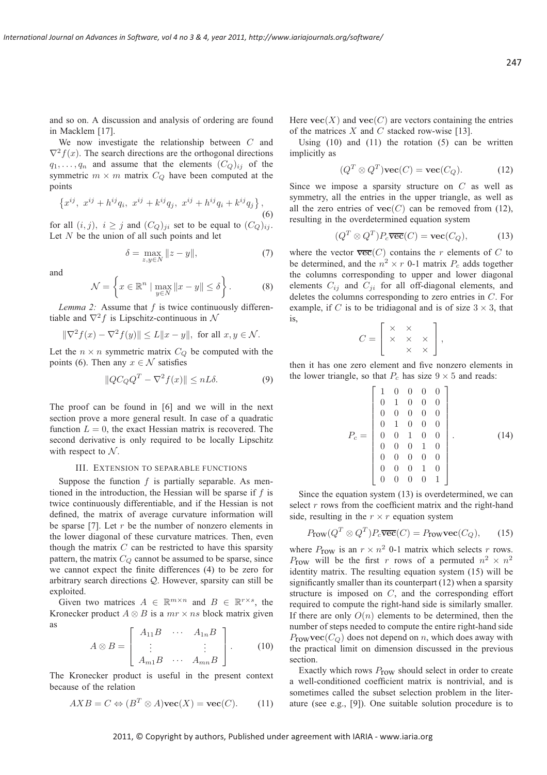and so on. A discussion and analysis of ordering are found in Macklem [17].

We now investigate the relationship between C and  $\nabla^2 f(x)$ . The search directions are the orthogonal directions  $q_1, \ldots, q_n$  and assume that the elements  $(C_Q)_{ij}$  of the symmetric  $m \times m$  matrix  $C_Q$  have been computed at the points

$$
\left\{x^{ij},\ x^{ij} + h^{ij}q_i,\ x^{ij} + k^{ij}q_j,\ x^{ij} + h^{ij}q_i + k^{ij}q_j\right\},\tag{6}
$$

for all  $(i, j)$ ,  $i \geq j$  and  $(C_Q)_{ji}$  set to be equal to  $(C_Q)_{ij}$ . Let  $N$  be the union of all such points and let

$$
\delta = \max_{z, y \in N} \|z - y\|,\tag{7}
$$

and

$$
\mathcal{N} = \left\{ x \in \mathbb{R}^n \mid \max_{y \in N} \|x - y\| \le \delta \right\}.
$$
 (8)

*Lemma 2:* Assume that f is twice continuously differentiable and  $\nabla^2 f$  is Lipschitz-continuous in N

$$
\|\nabla^2 f(x) - \nabla^2 f(y)\| \le L\|x - y\|, \text{ for all } x, y \in \mathcal{N}.
$$

Let the  $n \times n$  symmetric matrix  $C_Q$  be computed with the points (6). Then any  $x \in \mathcal{N}$  satisfies

$$
||QC_QQ^T - \nabla^2 f(x)|| \le nL\delta.
$$
 (9)

The proof can be found in [6] and we will in the next section prove a more general result. In case of a quadratic function  $L = 0$ , the exact Hessian matrix is recovered. The second derivative is only required to be locally Lipschitz with respect to  $N$ .

### III. EXTENSION TO SEPARABLE FUNCTIONS

Suppose the function  $f$  is partially separable. As mentioned in the introduction, the Hessian will be sparse if  $f$  is twice continuously differentiable, and if the Hessian is not defined, the matrix of average curvature information will be sparse [7]. Let  $r$  be the number of nonzero elements in the lower diagonal of these curvature matrices. Then, even though the matrix  $C$  can be restricted to have this sparsity pattern, the matrix  $C_Q$  cannot be assumed to be sparse, since we cannot expect the finite differences (4) to be zero for arbitrary search directions Q. However, sparsity can still be exploited.

Given two matrices  $A \in \mathbb{R}^{m \times n}$  and  $B \in \mathbb{R}^{r \times s}$ , the Kronecker product  $A \otimes B$  is a  $mr \times ns$  block matrix given as

$$
A \otimes B = \left[ \begin{array}{ccc} A_{11}B & \cdots & A_{1n}B \\ \vdots & & \vdots \\ A_{m1}B & \cdots & A_{mn}B \end{array} \right].
$$
 (10)

The Kronecker product is useful in the present context because of the relation

$$
AXB = C \Leftrightarrow (B^T \otimes A)\mathbf{vec}(X) = \mathbf{vec}(C). \tag{11}
$$

Here  $\text{vec}(X)$  and  $\text{vec}(C)$  are vectors containing the entries of the matrices  $X$  and  $C$  stacked row-wise [13].

Using  $(10)$  and  $(11)$  the rotation  $(5)$  can be written implicitly as

$$
(Q^T \otimes Q^T)\mathbf{vec}(C) = \mathbf{vec}(C_Q). \tag{12}
$$

Since we impose a sparsity structure on  $C$  as well as symmetry, all the entries in the upper triangle, as well as all the zero entries of  $\text{vec}(C)$  can be removed from (12), resulting in the overdetermined equation system

$$
(Q^T \otimes Q^T)P_c \overline{\text{vec}}(C) = \text{vec}(C_Q),\tag{13}
$$

where the vector  $\overline{\text{vec}}(C)$  contains the r elements of C to be determined, and the  $n^2 \times r$  0-1 matrix  $P_c$  adds together the columns corresponding to upper and lower diagonal elements  $C_{ij}$  and  $C_{ji}$  for all off-diagonal elements, and deletes the columns corresponding to zero entries in C. For example, if C is to be tridiagonal and is of size  $3 \times 3$ , that is,

$$
C = \left[ \begin{array}{ccc} \times & \times & \\ \times & \times & \times \\ & \times & \times \end{array} \right],
$$

then it has one zero element and five nonzero elements in the lower triangle, so that  $P_c$  has size  $9 \times 5$  and reads:

$$
P_c = \begin{bmatrix} 1 & 0 & 0 & 0 & 0 \\ 0 & 1 & 0 & 0 & 0 \\ 0 & 0 & 0 & 0 & 0 \\ 0 & 1 & 0 & 0 & 0 \\ 0 & 0 & 1 & 0 & 0 \\ 0 & 0 & 0 & 1 & 0 \\ 0 & 0 & 0 & 0 & 0 \\ 0 & 0 & 0 & 1 & 0 \\ 0 & 0 & 0 & 0 & 1 \end{bmatrix} . \tag{14}
$$

Since the equation system (13) is overdetermined, we can select  $r$  rows from the coefficient matrix and the right-hand side, resulting in the  $r \times r$  equation system

$$
P_{\text{row}}(Q^T \otimes Q^T) P_c \overline{\text{vec}}(C) = P_{\text{row}} \text{vec}(C_Q), \qquad (15)
$$

where  $P_{\text{row}}$  is an  $r \times n^2$  0-1 matrix which selects r rows. Prow will be the first r rows of a permuted  $n^2 \times n^2$ identity matrix. The resulting equation system (15) will be significantly smaller than its counterpart (12) when a sparsity structure is imposed on C, and the corresponding effort required to compute the right-hand side is similarly smaller. If there are only  $O(n)$  elements to be determined, then the number of steps needed to compute the entire right-hand side  $P_{\text{row}}\text{vec}(C_Q)$  does not depend on n, which does away with the practical limit on dimension discussed in the previous section.

Exactly which rows  $P_{\text{row}}$  should select in order to create a well-conditioned coefficient matrix is nontrivial, and is sometimes called the subset selection problem in the literature (see e.g., [9]). One suitable solution procedure is to

247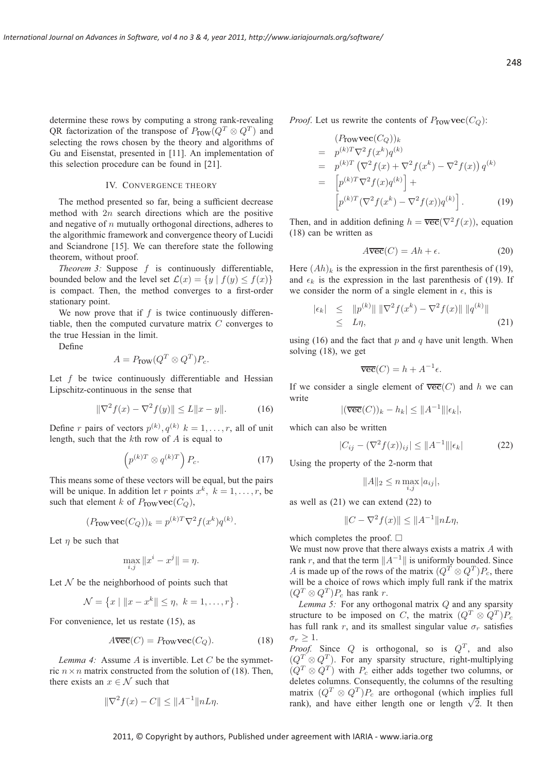determine these rows by computing a strong rank-revealing QR factorization of the transpose of  $P_{\text{row}}(Q^T \otimes Q^T)$  and selecting the rows chosen by the theory and algorithms of Gu and Eisenstat, presented in [11]. An implementation of this selection procedure can be found in [21].

## IV. CONVERGENCE THEORY

The method presented so far, being a sufficient decrease method with  $2n$  search directions which are the positive and negative of  $n$  mutually orthogonal directions, adheres to the algorithmic framework and convergence theory of Lucidi and Sciandrone [15]. We can therefore state the following theorem, without proof.

*Theorem 3:* Suppose f is continuously differentiable, bounded below and the level set  $\mathcal{L}(x) = \{y \mid f(y) \le f(x)\}\$ is compact. Then, the method converges to a first-order stationary point.

We now prove that if  $f$  is twice continuously differentiable, then the computed curvature matrix C converges to the true Hessian in the limit.

Define

$$
A = P_{\text{row}}(Q^T \otimes Q^T)P_c.
$$

Let  $f$  be twice continuously differentiable and Hessian Lipschitz-continuous in the sense that

$$
\|\nabla^2 f(x) - \nabla^2 f(y)\| \le L\|x - y\|.\tag{16}
$$

Define r pairs of vectors  $p^{(k)}$ ,  $q^{(k)}$   $k = 1, \ldots, r$ , all of unit length, such that the kth row of A is equal to

$$
\left(p^{(k)T} \otimes q^{(k)T}\right) P_c.
$$
 (17)

This means some of these vectors will be equal, but the pairs will be unique. In addition let r points  $x^k$ ,  $k = 1, \ldots, r$ , be such that element k of  $P_{\text{row}}\text{vec}(C_Q)$ ,

$$
(P_{\text{row}}\text{vec}(C_Q))_k = p^{(k)T}\nabla^2 f(x^k)q^{(k)}.
$$

Let  $\eta$  be such that

$$
\max_{i,j} \|x^i - x^j\| = \eta.
$$

Let  $N$  be the neighborhood of points such that

$$
\mathcal{N} = \{x \mid ||x - x^k|| \leq \eta, \ k = 1, \dots, r\}.
$$

For convenience, let us restate (15), as

$$
A\overline{\text{vec}}(C) = P_{\text{row}}\text{vec}(C_Q). \tag{18}
$$

*Lemma 4:* Assume A is invertible. Let C be the symmetric  $n \times n$  matrix constructed from the solution of (18). Then, there exists an  $x \in \mathcal{N}$  such that

$$
\|\nabla^2 f(x) - C\| \le \|A^{-1}\|nL\eta.
$$

*Proof.* Let us rewrite the contents of  $P_{\text{row}}\text{vec}(C_Q)$ :

$$
(P_{\text{row}}\text{vec}(C_Q))_k
$$
  
=  $p^{(k)T}\nabla^2 f(x^k)q^{(k)}$   
=  $p^{(k)T}(\nabla^2 f(x) + \nabla^2 f(x^k) - \nabla^2 f(x))q^{(k)}$   
=  $[p^{(k)T}\nabla^2 f(x)q^{(k)}] +$   
 $[p^{(k)T}(\nabla^2 f(x^k) - \nabla^2 f(x))q^{(k)}].$  (19)

Then, and in addition defining  $h = \overline{\text{vec}}(\nabla^2 f(x))$ , equation (18) can be written as

$$
A\overline{\text{vec}}(C) = Ah + \epsilon. \tag{20}
$$

Here  $(Ah)_k$  is the expression in the first parenthesis of (19), and  $\epsilon_k$  is the expression in the last parenthesis of (19). If we consider the norm of a single element in  $\epsilon$ , this is

$$
\begin{array}{rcl} |\epsilon_k| & \leq & \|p^{(k)}\| \, \|\nabla^2 f(x^k) - \nabla^2 f(x)\| \, \|q^{(k)}\| \\ & \leq & L\eta, \end{array} \tag{21}
$$

using (16) and the fact that  $p$  and  $q$  have unit length. When solving (18), we get

$$
\overline{\text{vec}}(C) = h + A^{-1} \epsilon.
$$

If we consider a single element of  $\overline{\text{vec}}(C)$  and h we can write

$$
|(\overline{\text{vec}}(C))_k - h_k| \leq ||A^{-1}|| |\epsilon_k|,
$$

which can also be written

$$
|C_{ij} - (\nabla^2 f(x))_{ij}| \le ||A^{-1}|| |\epsilon_k|
$$
 (22)

Using the property of the 2-norm that

$$
||A||_2 \leq n \max_{i,j} |a_{ij}|,
$$

as well as (21) we can extend (22) to

$$
||C - \nabla^2 f(x)|| \le ||A^{-1}|| nL\eta,
$$

which completes the proof.  $\square$ 

We must now prove that there always exists a matrix A with rank r, and that the term  $||A^{-1}||$  is uniformly bounded. Since A is made up of the rows of the matrix  $(Q^T \otimes Q^T)P_c$ , there will be a choice of rows which imply full rank if the matrix  $(Q^T \otimes Q^T)P_c$  has rank r.

*Lemma 5:* For any orthogonal matrix Q and any sparsity structure to be imposed on C, the matrix  $(Q^T \otimes Q^T)P_c$ has full rank r, and its smallest singular value  $\sigma_r$  satisfies  $\sigma_r \geq 1$ .

*Proof.* Since  $Q$  is orthogonal, so is  $Q^T$ , and also  $(Q<sup>T</sup> \otimes Q<sup>T</sup>)$ . For any sparsity structure, right-multiplying  $(Q^T \otimes Q^T)$  with  $P_c$  either adds together two columns, or deletes columns. Consequently, the columns of the resulting matrix  $(Q^T \otimes Q^T)P_c$  are orthogonal (which implies full rank), and have either length one or length  $\sqrt{2}$ . It then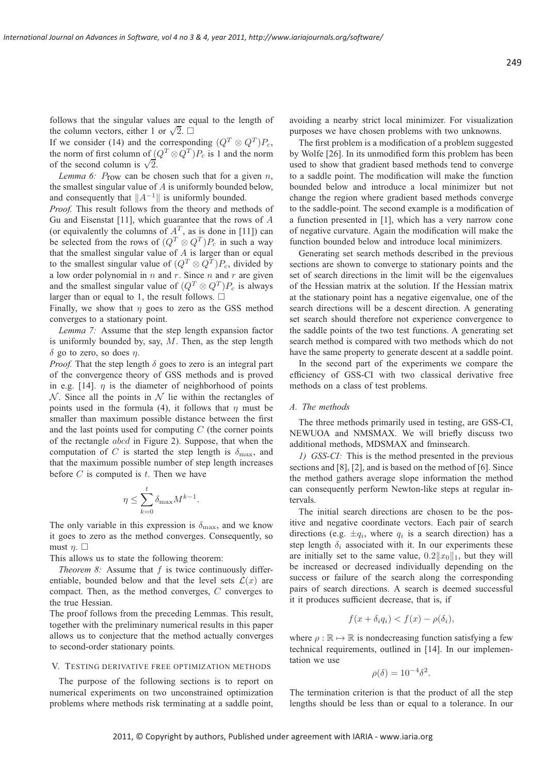follows that the singular values are equal to the length of the column vectors, either 1 or  $\sqrt{2}$ .  $\square$ 

If we consider (14) and the corresponding  $(Q^T \otimes Q^T)P_c$ , the norm of first column of  $(Q^T \otimes Q^T)P_c$  is 1 and the norm of the second column is  $\sqrt{2}$ .

*Lemma 6:*  $P_{\text{row}}$  can be chosen such that for a given  $n$ , the smallest singular value of A is uniformly bounded below, and consequently that  $||A^{-1}||$  is uniformly bounded.

*Proof.* This result follows from the theory and methods of Gu and Eisenstat [11], which guarantee that the rows of A (or equivalently the columns of  $A<sup>T</sup>$ , as is done in [11]) can be selected from the rows of  $(Q^T \otimes Q^T)P_c$  in such a way that the smallest singular value of  $A$  is larger than or equal to the smallest singular value of  $(Q^T \otimes Q^T)P_c$ , divided by a low order polynomial in  $n$  and  $r$ . Since  $n$  and  $r$  are given and the smallest singular value of  $(Q^T \otimes Q^T)P_c$  is always larger than or equal to 1, the result follows.  $\Box$ 

Finally, we show that  $\eta$  goes to zero as the GSS method converges to a stationary point.

*Lemma 7:* Assume that the step length expansion factor is uniformly bounded by, say,  $M$ . Then, as the step length  $\delta$  go to zero, so does  $\eta$ .

*Proof.* That the step length  $\delta$  goes to zero is an integral part of the convergence theory of GSS methods and is proved in e.g. [14].  $\eta$  is the diameter of neighborhood of points  $N$ . Since all the points in  $N$  lie within the rectangles of points used in the formula (4), it follows that  $\eta$  must be smaller than maximum possible distance between the first and the last points used for computing  $C$  (the corner points of the rectangle abcd in Figure 2). Suppose, that when the computation of C is started the step length is  $\delta_{\text{max}}$ , and that the maximum possible number of step length increases before  $C$  is computed is  $t$ . Then we have

$$
\eta \le \sum_{k=0}^t \delta_{\max} M^{k-1}.
$$

The only variable in this expression is  $\delta_{\text{max}}$ , and we know it goes to zero as the method converges. Consequently, so must  $\eta$ .  $\Box$ 

This allows us to state the following theorem:

*Theorem 8:* Assume that f is twice continuously differentiable, bounded below and that the level sets  $\mathcal{L}(x)$  are compact. Then, as the method converges, C converges to the true Hessian.

The proof follows from the preceding Lemmas. This result, together with the preliminary numerical results in this paper allows us to conjecture that the method actually converges to second-order stationary points.

#### V. TESTING DERIVATIVE FREE OPTIMIZATION METHODS

The purpose of the following sections is to report on numerical experiments on two unconstrained optimization problems where methods risk terminating at a saddle point, avoiding a nearby strict local minimizer. For visualization purposes we have chosen problems with two unknowns.

The first problem is a modification of a problem suggested by Wolfe [26]. In its unmodified form this problem has been used to show that gradient based methods tend to converge to a saddle point. The modification will make the function bounded below and introduce a local minimizer but not change the region where gradient based methods converge to the saddle-point. The second example is a modification of a function presented in [1], which has a very narrow cone of negative curvature. Again the modification will make the function bounded below and introduce local minimizers.

Generating set search methods described in the previous sections are shown to converge to stationary points and the set of search directions in the limit will be the eigenvalues of the Hessian matrix at the solution. If the Hessian matrix at the stationary point has a negative eigenvalue, one of the search directions will be a descent direction. A generating set search should therefore not experience convergence to the saddle points of the two test functions. A generating set search method is compared with two methods which do not have the same property to generate descent at a saddle point.

In the second part of the experiments we compare the efficiency of GSS-CI with two classical derivative free methods on a class of test problems.

#### *A. The methods*

The three methods primarily used in testing, are GSS-CI, NEWUOA and NMSMAX. We will briefly discuss two additional methods, MDSMAX and fminsearch.

*1) GSS-CI:* This is the method presented in the previous sections and [8], [2], and is based on the method of [6]. Since the method gathers average slope information the method can consequently perform Newton-like steps at regular intervals.

The initial search directions are chosen to be the positive and negative coordinate vectors. Each pair of search directions (e.g.  $\pm q_i$ , where  $q_i$  is a search direction) has a step length  $\delta_i$  associated with it. In our experiments these are initially set to the same value,  $0.2||x_0||_1$ , but they will be increased or decreased individually depending on the success or failure of the search along the corresponding pairs of search directions. A search is deemed successful it it produces sufficient decrease, that is, if

$$
f(x + \delta_i q_i) < f(x) - \rho(\delta_i),
$$

where  $\rho : \mathbb{R} \mapsto \mathbb{R}$  is nondecreasing function satisfying a few technical requirements, outlined in [14]. In our implementation we use

$$
\rho(\delta) = 10^{-4} \delta^2.
$$

The termination criterion is that the product of all the step lengths should be less than or equal to a tolerance. In our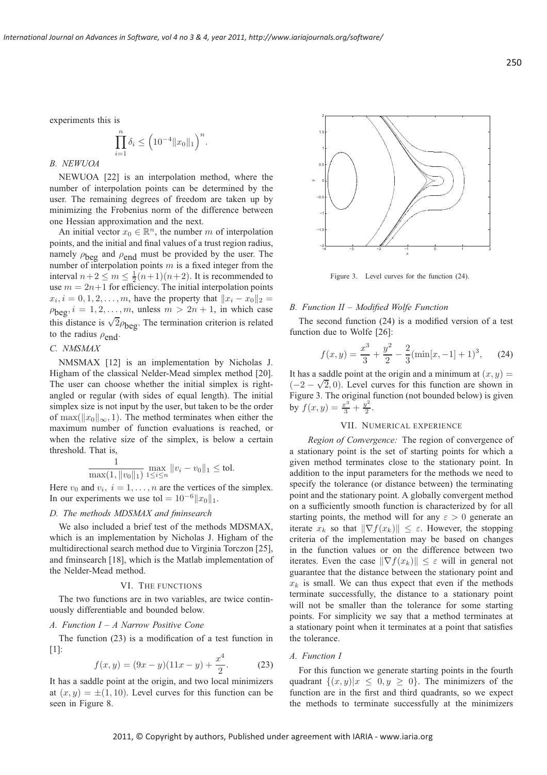.

experiments this is

$$
\prod_{i=1}^{n} \delta_i \le \left( 10^{-4} \|x_0\|_1 \right)^n
$$

## *B. NEWUOA*

NEWUOA [22] is an interpolation method, where the number of interpolation points can be determined by the user. The remaining degrees of freedom are taken up by minimizing the Frobenius norm of the difference between one Hessian approximation and the next.

An initial vector  $x_0 \in \mathbb{R}^n$ , the number m of interpolation points, and the initial and final values of a trust region radius, namely  $\rho_{\text{beg}}$  and  $\rho_{\text{end}}$  must be provided by the user. The number of interpolation points  $m$  is a fixed integer from the interval  $n+2 \leq m \leq \frac{1}{2}(n+1)(n+2)$ . It is recommended to use  $m = 2n+1$  for efficiency. The initial interpolation points  $x_i, i = 0, 1, 2, \dots, m$ , have the property that  $||x_i - x_0||_2 =$  $\rho_{\text{beg}}, i = 1, 2, \ldots, m$ , unless  $m > 2n + 1$ , in which case this distance is  $\sqrt{2}\rho_{\text{beg}}$ . The termination criterion is related to the radius  $\rho_{end}$ .

## *C. NMSMAX*

NMSMAX [12] is an implementation by Nicholas J. Higham of the classical Nelder-Mead simplex method [20]. The user can choose whether the initial simplex is rightangled or regular (with sides of equal length). The initial simplex size is not input by the user, but taken to be the order of max( $||x_0||_{\infty}$ , 1). The method terminates when either the maximum number of function evaluations is reached, or when the relative size of the simplex, is below a certain threshold. That is,

$$
\frac{1}{\max(1, \|v_0\|_1)} \max_{1 \le i \le n} \|v_i - v_0\|_1 \le \text{tol}.
$$

Here  $v_0$  and  $v_i$ ,  $i = 1, \ldots, n$  are the vertices of the simplex. In our experiments we use tol =  $10^{-6}$ k $x_0$ k<sub>1</sub>.

## *D. The methods MDSMAX and fminsearch*

We also included a brief test of the methods MDSMAX, which is an implementation by Nicholas J. Higham of the multidirectional search method due to Virginia Torczon [25], and fminsearch [18], which is the Matlab implementation of the Nelder-Mead method.

#### VI. THE FUNCTIONS

The two functions are in two variables, are twice continuously differentiable and bounded below.

#### *A. Function I – A Narrow Positive Cone*

The function (23) is a modification of a test function in [1]:

$$
f(x,y) = (9x - y)(11x - y) + \frac{x^4}{2}.
$$
 (23)

It has a saddle point at the origin, and two local minimizers at  $(x, y) = \pm(1, 10)$ . Level curves for this function can be seen in Figure 8.



Figure 3. Level curves for the function (24).

### *B. Function II – Modified Wolfe Function*

The second function (24) is a modified version of a test function due to Wolfe [26]:

$$
f(x,y) = \frac{x^3}{3} + \frac{y^2}{2} - \frac{2}{3}(\min[x, -1] + 1)^3, \quad (24)
$$

It has a saddle point at the origin and a minimum at  $(x, y) =$  $(-2 - \sqrt{2}, 0)$ . Level curves for this function are shown in Figure 3. The original function (not bounded below) is given by  $f(x, y) = \frac{x^3}{3} + \frac{y^2}{2}$  $\frac{1}{2}$ .

### VII. NUMERICAL EXPERIENCE

*Region of Convergence:* The region of convergence of a stationary point is the set of starting points for which a given method terminates close to the stationary point. In addition to the input parameters for the methods we need to specify the tolerance (or distance between) the terminating point and the stationary point. A globally convergent method on a sufficiently smooth function is characterized by for all starting points, the method will for any  $\varepsilon > 0$  generate an iterate  $x_k$  so that  $\|\nabla f(x_k)\| \leq \varepsilon$ . However, the stopping criteria of the implementation may be based on changes in the function values or on the difference between two iterates. Even the case  $\|\nabla f(x_k)\| \leq \varepsilon$  will in general not guarantee that the distance between the stationary point and  $x_k$  is small. We can thus expect that even if the methods terminate successfully, the distance to a stationary point will not be smaller than the tolerance for some starting points. For simplicity we say that a method terminates at a stationary point when it terminates at a point that satisfies the tolerance.

## *A. Function I*

For this function we generate starting points in the fourth quadrant  $\{(x, y)|x \leq 0, y \geq 0\}$ . The minimizers of the function are in the first and third quadrants, so we expect the methods to terminate successfully at the minimizers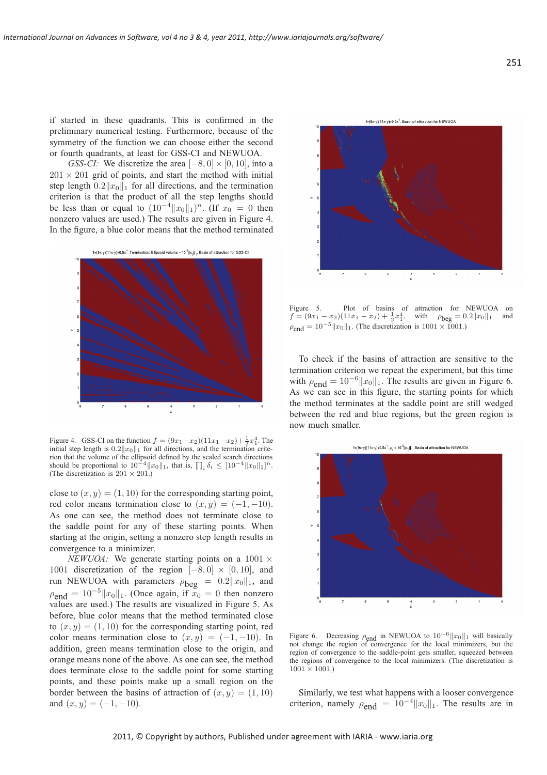if started in these quadrants. This is confirmed in the preliminary numerical testing. Furthermore, because of the symmetry of the function we can choose either the second or fourth quadrants, at least for GSS-CI and NEWUOA.

*GSS-CI:* We discretize the area  $[-8, 0] \times [0, 10]$ , into a  $201 \times 201$  grid of points, and start the method with initial step length  $0.2||x_0||_1$  for all directions, and the termination criterion is that the product of all the step lengths should be less than or equal to  $(10^{-4}||x_0||_1)^n$ . (If  $x_0 = 0$  then nonzero values are used.) The results are given in Figure 4. In the figure, a blue color means that the method terminated



Figure 4. GSS-CI on the function  $f = (9x_1 - x_2)(11x_1 - x_2) + \frac{1}{2}x_1^4$ . The initial step length is  $0.2||x_0||_1$  for all directions, and the termination criterion that the volume of the ellipsoid defined by the scaled search directions should be proportional to  $10^{-4} ||x_0||_1$ , that is,  $\prod_i \delta_i \leq [10^{-4} ||x_0||_1]^n$ . (The discretization is  $201 \times 201$ .)

close to  $(x, y) = (1, 10)$  for the corresponding starting point, red color means termination close to  $(x, y) = (-1, -10)$ . As one can see, the method does not terminate close to the saddle point for any of these starting points. When starting at the origin, setting a nonzero step length results in convergence to a minimizer.

*NEWUOA:* We generate starting points on a  $1001 \times$ 1001 discretization of the region  $[-8, 0] \times [0, 10]$ , and run NEWUOA with parameters  $\rho_{\text{beg}} = 0.2 ||x_0||_1$ , and  $\rho_{\text{end}} = 10^{-5} \|x_0\|_1$ . (Once again, if  $x_0 = 0$  then nonzero values are used.) The results are visualized in Figure 5. As before, blue color means that the method terminated close to  $(x, y) = (1, 10)$  for the corresponding starting point, red color means termination close to  $(x, y) = (-1, -10)$ . In addition, green means termination close to the origin, and orange means none of the above. As one can see, the method does terminate close to the saddle point for some starting points, and these points make up a small region on the border between the basins of attraction of  $(x, y) = (1, 10)$ and  $(x, y) = (-1, -10)$ .



Figure 5. Plot of basins of attraction for NEWUOA on  $f = (9x_1 - x_2)(11x_1 - x_2) + \frac{1}{2}x_1^4$ , with  $\rho_{\text{beg}} = 0.2||x_0||_1$  and  $\rho_{\text{end}} = 10^{-5} \|x_0\|_1$ . (The discretization is 1001 × 1001.)

To check if the basins of attraction are sensitive to the termination criterion we repeat the experiment, but this time with  $\rho_{\text{end}} = 10^{-6} ||x_0||_1$ . The results are given in Figure 6. As we can see in this figure, the starting points for which the method terminates at the saddle point are still wedged between the red and blue regions, but the green region is now much smaller.



Figure 6. Decreasing  $\rho_{\text{end}}$  in NEWUOA to  $10^{-6}$  koll will basically not change the region of convergence for the local minimizers, but the region of convergence to the saddle-point gets smaller, squeezed between the regions of convergence to the local minimizers. (The discretization is  $1001 \times 1001.$ 

Similarly, we test what happens with a looser convergence criterion, namely  $\rho_{end} = 10^{-4} ||x_0||_1$ . The results are in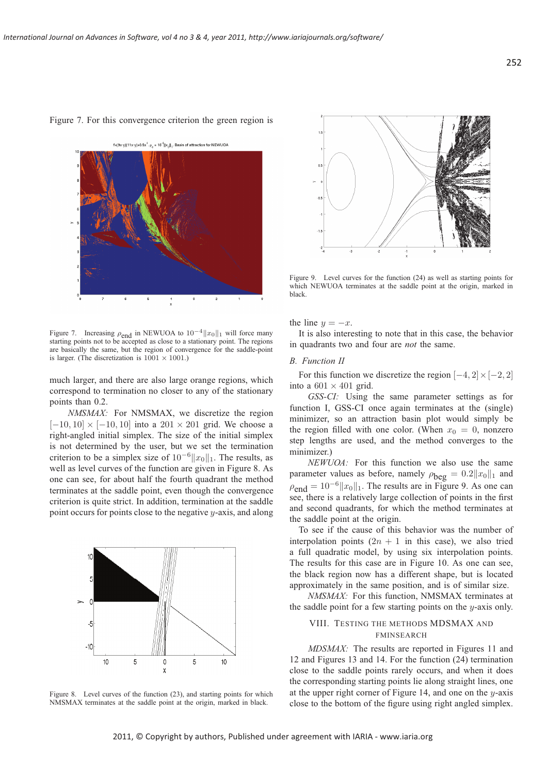#### Figure 7. For this convergence criterion the green region is

 $f=(9x-y)(11x-y)+0.5x^4$ ,  $\rho_z = 10^{-4}||x_z||$ ,. Basin of attraction for NEWUOA



Figure 7. Increasing  $\rho_{\text{end}}$  in NEWUOA to  $10^{-4}$  kmoll will force many starting points not to be accepted as close to a stationary point. The regions are basically the same, but the region of convergence for the saddle-point is larger. (The discretization is  $1001 \times 1001$ .)

much larger, and there are also large orange regions, which correspond to termination no closer to any of the stationary points than 0.2.

*NMSMAX:* For NMSMAX, we discretize the region  $[-10, 10] \times [-10, 10]$  into a  $201 \times 201$  grid. We choose a right-angled initial simplex. The size of the initial simplex is not determined by the user, but we set the termination criterion to be a simplex size of  $10^{-6}||x_0||_1$ . The results, as well as level curves of the function are given in Figure 8. As one can see, for about half the fourth quadrant the method terminates at the saddle point, even though the convergence criterion is quite strict. In addition, termination at the saddle point occurs for points close to the negative y-axis, and along



Figure 8. Level curves of the function (23), and starting points for which NMSMAX terminates at the saddle point at the origin, marked in black.



Figure 9. Level curves for the function (24) as well as starting points for which NEWUOA terminates at the saddle point at the origin, marked in black.

the line  $y = -x$ .

It is also interesting to note that in this case, the behavior in quadrants two and four are *not* the same.

#### *B. Function II*

For this function we discretize the region  $[-4, 2] \times [-2, 2]$ into a  $601 \times 401$  grid.

*GSS-CI:* Using the same parameter settings as for function I, GSS-CI once again terminates at the (single) minimizer, so an attraction basin plot would simply be the region filled with one color. (When  $x_0 = 0$ , nonzero step lengths are used, and the method converges to the minimizer.)

*NEWUOA:* For this function we also use the same parameter values as before, namely  $\rho_{\text{beg}} = 0.2 ||x_0||_1$  and  $\rho_{\text{end}} = 10^{-6}$  || $x_0$ || $_1$ . The results are in Figure 9. As one can see, there is a relatively large collection of points in the first and second quadrants, for which the method terminates at the saddle point at the origin.

To see if the cause of this behavior was the number of interpolation points  $(2n + 1)$  in this case), we also tried a full quadratic model, by using six interpolation points. The results for this case are in Figure 10. As one can see, the black region now has a different shape, but is located approximately in the same position, and is of similar size.

*NMSMAX:* For this function, NMSMAX terminates at the saddle point for a few starting points on the  $y$ -axis only.

## VIII. TESTING THE METHODS MDSMAX AND FMINSEARCH

*MDSMAX:* The results are reported in Figures 11 and 12 and Figures 13 and 14. For the function (24) termination close to the saddle points rarely occurs, and when it does the corresponding starting points lie along straight lines, one at the upper right corner of Figure 14, and one on the  $y$ -axis close to the bottom of the figure using right angled simplex.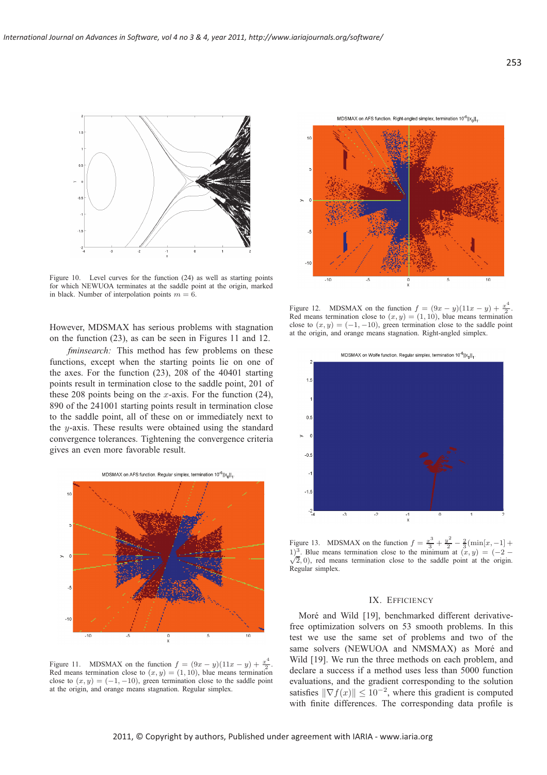

Figure 10. Level curves for the function (24) as well as starting points for which NEWUOA terminates at the saddle point at the origin, marked in black. Number of interpolation points  $m = 6$ .

However, MDSMAX has serious problems with stagnation on the function (23), as can be seen in Figures 11 and 12.

*fminsearch:* This method has few problems on these functions, except when the starting points lie on one of the axes. For the function (23), 208 of the 40401 starting points result in termination close to the saddle point, 201 of these 208 points being on the x-axis. For the function  $(24)$ , 890 of the 241001 starting points result in termination close to the saddle point, all of these on or immediately next to the y-axis. These results were obtained using the standard convergence tolerances. Tightening the convergence criteria gives an even more favorable result.



Figure 11. MDSMAX on the function  $f = (9x - y)(11x - y) + \frac{x^4}{2}$ . Red means termination close to  $(x, y) = (1, 10)$ , blue means termination close to  $(x, y) = (-1, -10)$ , green termination close to the saddle point at the origin, and orange means stagnation. Regular simplex.

MDSMAX on AFS function. Right-angled simplex, termination 10<sup>-6</sup>||x<sub>o</sub>||<sub>1</sub>.



Figure 12. MDSMAX on the function  $f = (9x - y)(11x - y) + \frac{x^4}{2}$ . Red means termination close to  $(x, y) = (1, 10)$ , blue means termination close to  $(x, y) = (-1, -10)$ , green termination close to the saddle point at the origin, and orange means stagnation. Right-angled simplex.

MDSMAX on Wolfe function. Regular simplex, termination 10<sup>-6</sup>llx<sub>a</sub>ll,



Figure 13. MDSMAX on the function  $f = \frac{x^3}{3} + \frac{y^2}{2} - \frac{2}{3}(\min[x, -1] +$ 1)<sup>3</sup>. Blue means termination close to the minimum at  $(x, y) = (-2 \sqrt{2}$ ,  $0$ , red means termination close to the saddle point at the origin. Regular simplex.

### IX. EFFICIENCY

Moré and Wild [19], benchmarked different derivativefree optimization solvers on 53 smooth problems. In this test we use the same set of problems and two of the same solvers (NEWUOA and NMSMAX) as Moré and Wild [19]. We run the three methods on each problem, and declare a success if a method uses less than 5000 function evaluations, and the gradient corresponding to the solution satisfies  $\|\nabla f(x)\| \le 10^{-2}$ , where this gradient is computed with finite differences. The corresponding data profile is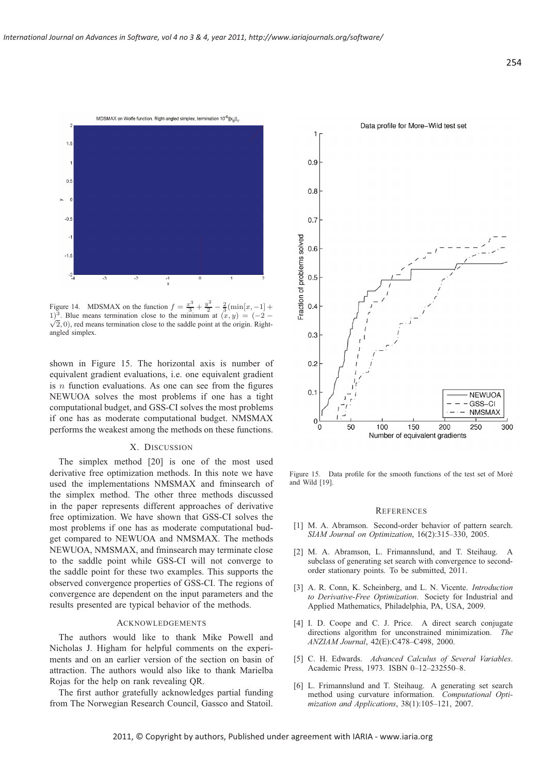

Figure 14. MDSMAX on the function  $f = \frac{x^3}{3} + \frac{y^2}{2} - \frac{2}{3}(\min[x, -1] +$ 1)<sup>3</sup>. Blue means termination close to the minimum at  $(x, y) = (-2 \sqrt{2}$ , 0), red means termination close to the saddle point at the origin. Rightangled simplex.

shown in Figure 15. The horizontal axis is number of equivalent gradient evaluations, i.e. one equivalent gradient is  $n$  function evaluations. As one can see from the figures NEWUOA solves the most problems if one has a tight computational budget, and GSS-CI solves the most problems if one has as moderate computational budget. NMSMAX performs the weakest among the methods on these functions.

## X. DISCUSSION

The simplex method [20] is one of the most used derivative free optimization methods. In this note we have used the implementations NMSMAX and fminsearch of the simplex method. The other three methods discussed in the paper represents different approaches of derivative free optimization. We have shown that GSS-CI solves the most problems if one has as moderate computational budget compared to NEWUOA and NMSMAX. The methods NEWUOA, NMSMAX, and fminsearch may terminate close to the saddle point while GSS-CI will not converge to the saddle point for these two examples. This supports the observed convergence properties of GSS-CI. The regions of convergence are dependent on the input parameters and the results presented are typical behavior of the methods.

### **ACKNOWLEDGEMENTS**

The authors would like to thank Mike Powell and Nicholas J. Higham for helpful comments on the experiments and on an earlier version of the section on basin of attraction. The authors would also like to thank Marielba Rojas for the help on rank revealing QR.

The first author gratefully acknowledges partial funding from The Norwegian Research Council, Gassco and Statoil.



Figure 15. Data profile for the smooth functions of the test set of Moré and Wild [19].

#### **REFERENCES**

- [1] M. A. Abramson. Second-order behavior of pattern search. *SIAM Journal on Optimization*, 16(2):315–330, 2005.
- [2] M. A. Abramson, L. Frimannslund, and T. Steihaug. subclass of generating set search with convergence to secondorder stationary points. To be submitted, 2011.
- [3] A. R. Conn, K. Scheinberg, and L. N. Vicente. *Introduction to Derivative-Free Optimization*. Society for Industrial and Applied Mathematics, Philadelphia, PA, USA, 2009.
- [4] I. D. Coope and C. J. Price. A direct search conjugate directions algorithm for unconstrained minimization. *The ANZIAM Journal*, 42(E):C478–C498, 2000.
- [5] C. H. Edwards. *Advanced Calculus of Several Variables*. Academic Press, 1973. ISBN 0–12–232550–8.
- [6] L. Frimannslund and T. Steihaug. A generating set search method using curvature information. *Computational Optimization and Applications*, 38(1):105–121, 2007.